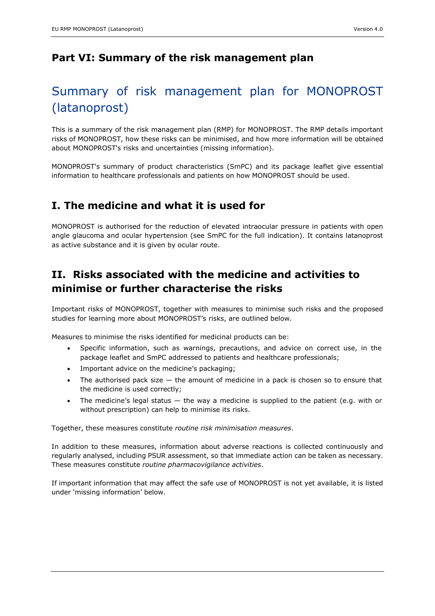### **Part VI: Summary of the risk management plan**

# Summary of risk management plan for MONOPROST (latanoprost)

This is a summary of the risk management plan (RMP) for MONOPROST. The RMP details important risks of MONOPROST, how these risks can be minimised, and how more information will be obtained about MONOPROST's risks and uncertainties (missing information).

MONOPROST's summary of product characteristics (SmPC) and its package leaflet give essential information to healthcare professionals and patients on how MONOPROST should be used.

### **I. The medicine and what it is used for**

MONOPROST is authorised for the reduction of elevated intraocular pressure in patients with open angle glaucoma and ocular hypertension (see SmPC for the full indication). It contains latanoprost as active substance and it is given by ocular route.

## **II. Risks associated with the medicine and activities to minimise or further characterise the risks**

Important risks of MONOPROST, together with measures to minimise such risks and the proposed studies for learning more about MONOPROST's risks, are outlined below.

Measures to minimise the risks identified for medicinal products can be:

- Specific information, such as warnings, precautions, and advice on correct use, in the package leaflet and SmPC addressed to patients and healthcare professionals;
- Important advice on the medicine's packaging;
- The authorised pack size  $-$  the amount of medicine in a pack is chosen so to ensure that the medicine is used correctly;
- The medicine's legal status  $-$  the way a medicine is supplied to the patient (e.g. with or without prescription) can help to minimise its risks.

Together, these measures constitute *routine risk minimisation measures*.

In addition to these measures, information about adverse reactions is collected continuously and regularly analysed, including PSUR assessment, so that immediate action can be taken as necessary. These measures constitute *routine pharmacovigilance activities*.

If important information that may affect the safe use of MONOPROST is not yet available, it is listed under 'missing information' below.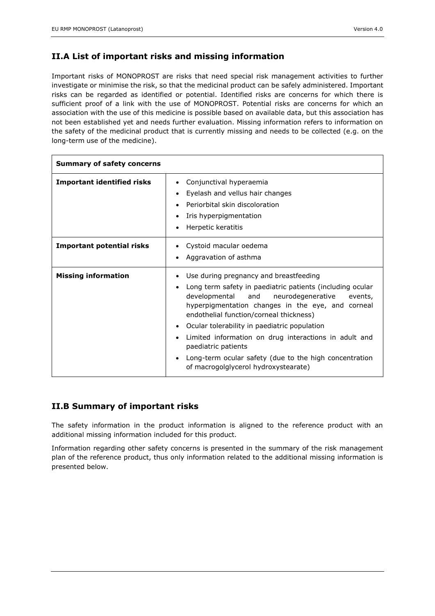#### **II.A List of important risks and missing information**

Important risks of MONOPROST are risks that need special risk management activities to further investigate or minimise the risk, so that the medicinal product can be safely administered. Important risks can be regarded as identified or potential. Identified risks are concerns for which there is sufficient proof of a link with the use of MONOPROST. Potential risks are concerns for which an association with the use of this medicine is possible based on available data, but this association has not been established yet and needs further evaluation. Missing information refers to information on the safety of the medicinal product that is currently missing and needs to be collected (e.g. on the long-term use of the medicine).

| <b>Summary of safety concerns</b> |                                                                                                                                                                                                                                                                                                                                                                                                                                                                                               |
|-----------------------------------|-----------------------------------------------------------------------------------------------------------------------------------------------------------------------------------------------------------------------------------------------------------------------------------------------------------------------------------------------------------------------------------------------------------------------------------------------------------------------------------------------|
| <b>Important identified risks</b> | Conjunctival hyperaemia<br>Eyelash and vellus hair changes<br>Periorbital skin discoloration<br>Iris hyperpigmentation<br>Herpetic keratitis                                                                                                                                                                                                                                                                                                                                                  |
| <b>Important potential risks</b>  | Cystoid macular oedema<br>Aggravation of asthma                                                                                                                                                                                                                                                                                                                                                                                                                                               |
| <b>Missing information</b>        | Use during pregnancy and breastfeeding<br>Long term safety in paediatric patients (including ocular<br>developmental<br>neurodegenerative<br>and<br>events,<br>hyperpigmentation changes in the eye, and corneal<br>endothelial function/corneal thickness)<br>Ocular tolerability in paediatric population<br>Limited information on drug interactions in adult and<br>paediatric patients<br>Long-term ocular safety (due to the high concentration<br>of macrogolglycerol hydroxystearate) |

#### **II.B Summary of important risks**

The safety information in the product information is aligned to the reference product with an additional missing information included for this product.

Information regarding other safety concerns is presented in the summary of the risk management plan of the reference product, thus only information related to the additional missing information is presented below.